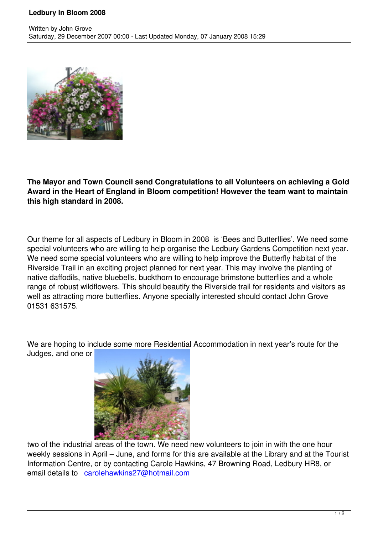

Written by John Grove and John Grove and John Grove and John Grove and John Grove and John Grove and John Grov

**The Mayor and Town Council send Congratulations to all Volunteers on achieving a Gold Award in the Heart of England in Bloom competition! However the team want to maintain this high standard in 2008.**

Our theme for all aspects of Ledbury in Bloom in 2008 is 'Bees and Butterflies'. We need some special volunteers who are willing to help organise the Ledbury Gardens Competition next year. We need some special volunteers who are willing to help improve the Butterfly habitat of the Riverside Trail in an exciting project planned for next year. This may involve the planting of native daffodils, native bluebells, buckthorn to encourage brimstone butterflies and a whole range of robust wildflowers. This should beautify the Riverside trail for residents and visitors as well as attracting more butterflies. Anyone specially interested should contact John Grove 01531 631575.

We are hoping to include some more Residential Accommodation in next year's route for the Judges, and one or



two of the industrial areas of the town. We need new volunteers to join in with the one hour weekly sessions in April – June, and forms for this are available at the Library and at the Tourist Information Centre, or by contacting Carole Hawkins, 47 Browning Road, Ledbury HR8, or email details to carolehawkins27@hotmail.com